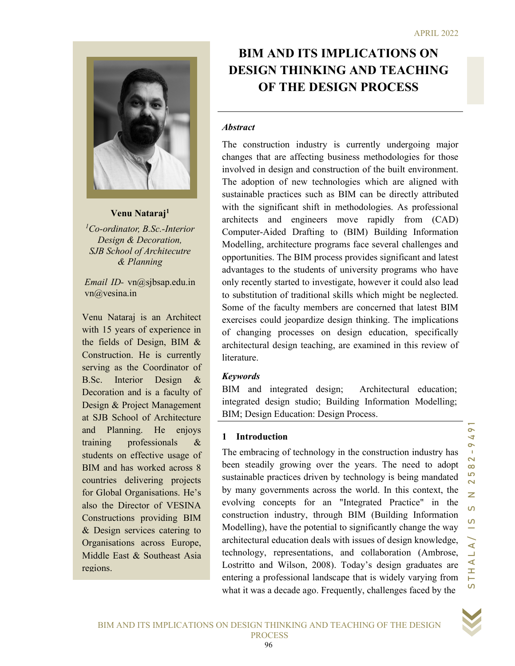

Venu Nataraj<sup>1</sup>

 ${}^{1}$ Co-ordinator, B.Sc.-Interior Design & Decoration, SJB School of Architecutre & Planning

Email ID- vn@sjbsap.edu.in vn@vesina.in

Venu Nataraj is an Architect with 15 years of experience in the fields of Design, BIM & Construction. He is currently serving as the Coordinator of B.Sc. Interior Design & Decoration and is a faculty of Design & Project Management at SJB School of Architecture and Planning. He enjoys training professionals & students on effective usage of BIM and has worked across 8 countries delivering projects for Global Organisations. He's also the Director of VESINA Constructions providing BIM & Design services catering to Organisations across Europe, Middle East & Southeast Asia regions.

# OF THE DESIGN PROCESS BIM AND ITS IMPLICATIONS ON DESIGN THINKING AND TEACHING

#### **Abstract**

gnuitare saint in metodologies. As protessional<br>and engineers move rapidly from (CAD)<br>Aided Drafting to (BIM) Building Information<br>architecture programs face several challenges and<br>as. The BIM process provides significant The construction industry is currently undergoing major changes that are affecting business methodologies for those involved in design and construction of the built environment. The adoption of new technologies which are aligned with sustainable practices such as BIM can be directly attributed with the significant shift in methodologies. As professional architects and engineers move rapidly from (CAD) Computer-Aided Drafting to (BIM) Building Information Modelling, architecture programs face several challenges and opportunities. The BIM process provides significant and latest advantages to the students of university programs who have only recently started to investigate, however it could also lead to substitution of traditional skills which might be neglected. Some of the faculty members are concerned that latest BIM exercises could jeopardize design thinking. The implications of changing processes on design education, specifically architectural design teaching, are examined in this review of literature.

#### Keywords

BIM and integrated design; Architectural education; integrated design studio; Building Information Modelling; BIM; Design Education: Design Process.

#### 1 Introduction

The embracing of technology in the construction industry has been steadily growing over the years. The need to adopt sustainable practices driven by technology is being mandated by many governments across the world. In this context, the evolving concepts for an "Integrated Practice" in the construction industry, through BIM (Building Information Modelling), have the potential to significantly change the way architectural education deals with issues of design knowledge, technology, representations, and collaboration (Ambrose, Lostritto and Wilson, 2008). Today's design graduates are entering a professional landscape that is widely varying from what it was a decade ago. Frequently, challenges faced by the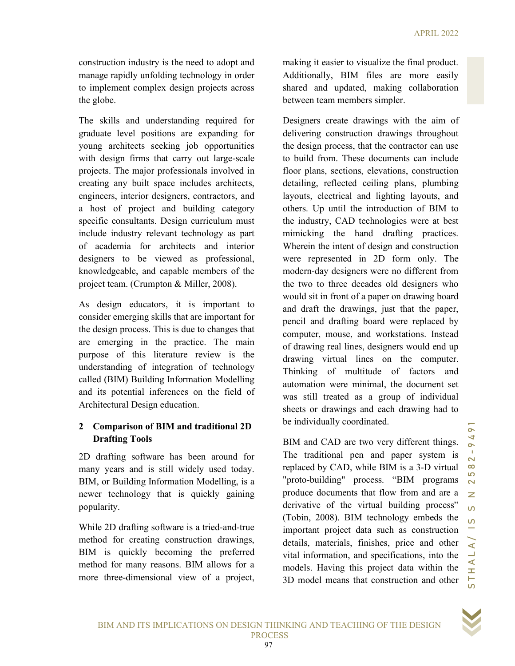construction industry is the need to adopt and manage rapidly unfolding technology in order to implement complex design projects across the globe.

The skills and understanding required for graduate level positions are expanding for young architects seeking job opportunities with design firms that carry out large-scale projects. The major professionals involved in creating any built space includes architects, engineers, interior designers, contractors, and a host of project and building category specific consultants. Design curriculum must include industry relevant technology as part of academia for architects and interior designers to be viewed as professional, knowledgeable, and capable members of the project team. (Crumpton & Miller, 2008).

As design educators, it is important to consider emerging skills that are important for the design process. This is due to changes that are emerging in the practice. The main purpose of this literature review is the understanding of integration of technology called (BIM) Building Information Modelling and its potential inferences on the field of Architectural Design education.

# 2 Comparison of BIM and traditional 2D Drafting Tools

2D drafting software has been around for many years and is still widely used today. BIM, or Building Information Modelling, is a newer technology that is quickly gaining popularity.

While 2D drafting software is a tried-and-true method for creating construction drawings, BIM is quickly becoming the preferred method for many reasons. BIM allows for a more three-dimensional view of a project, making it easier to visualize the final product. Additionally, BIM files are more easily shared and updated, making collaboration between team members simpler.

others. Up until the nitroduction of BIM to<br>the industry, CAD technologies were at best<br>mimicking the hand drafting practices.<br>Wherein the intent of design and construction<br>were represented in 2D form only. The<br>modern-day Designers create drawings with the aim of delivering construction drawings throughout the design process, that the contractor can use to build from. These documents can include floor plans, sections, elevations, construction detailing, reflected ceiling plans, plumbing layouts, electrical and lighting layouts, and others. Up until the introduction of BIM to the industry, CAD technologies were at best mimicking the hand drafting practices. Wherein the intent of design and construction were represented in 2D form only. The modern-day designers were no different from the two to three decades old designers who would sit in front of a paper on drawing board and draft the drawings, just that the paper, pencil and drafting board were replaced by computer, mouse, and workstations. Instead of drawing real lines, designers would end up drawing virtual lines on the computer. Thinking of multitude of factors and automation were minimal, the document set was still treated as a group of individual sheets or drawings and each drawing had to be individually coordinated.

BIM and CAD are two very different things. The traditional pen and paper system is replaced by CAD, while BIM is a 3-D virtual "proto-building" process. "BIM programs produce documents that flow from and are a derivative of the virtual building process" (Tobin, 2008). BIM technology embeds the important project data such as construction details, materials, finishes, price and other vital information, and specifications, into the models. Having this project data within the 3D model means that construction and other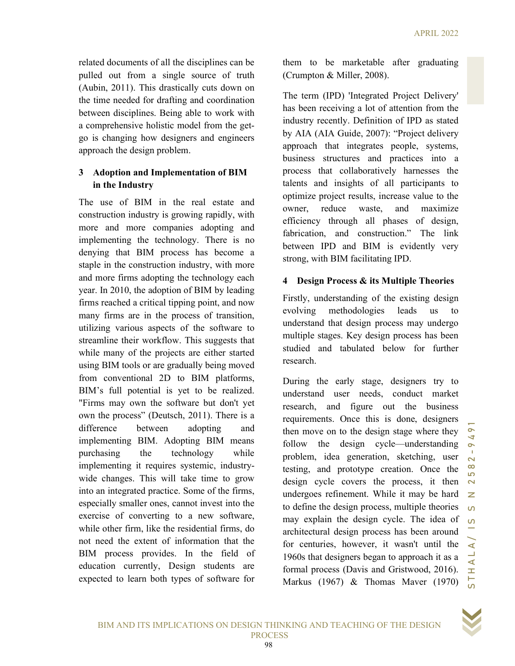related documents of all the disciplines can be pulled out from a single source of truth (Aubin, 2011). This drastically cuts down on the time needed for drafting and coordination between disciplines. Being able to work with a comprehensive holistic model from the getgo is changing how designers and engineers approach the design problem.

## 3 Adoption and Implementation of BIM in the Industry

The use of BIM in the real estate and construction industry is growing rapidly, with more and more companies adopting and implementing the technology. There is no denying that BIM process has become a staple in the construction industry, with more and more firms adopting the technology each year. In 2010, the adoption of BIM by leading firms reached a critical tipping point, and now many firms are in the process of transition, utilizing various aspects of the software to streamline their workflow. This suggests that while many of the projects are either started using BIM tools or are gradually being moved from conventional 2D to BIM platforms, BIM's full potential is yet to be realized. "Firms may own the software but don't yet own the process" (Deutsch, 2011). There is a difference between adopting and implementing BIM. Adopting BIM means purchasing the technology while implementing it requires systemic, industrywide changes. This will take time to grow into an integrated practice. Some of the firms, especially smaller ones, cannot invest into the exercise of converting to a new software, while other firm, like the residential firms, do not need the extent of information that the BIM process provides. In the field of education currently, Design students are expected to learn both types of software for

them to be marketable after graduating (Crumpton & Miller, 2008).

The term (IPD) 'Integrated Project Delivery' has been receiving a lot of attention from the industry recently. Definition of IPD as stated by AIA (AIA Guide, 2007): "Project delivery approach that integrates people, systems, business structures and practices into a process that collaboratively harnesses the talents and insights of all participants to optimize project results, increase value to the owner, reduce waste, and maximize efficiency through all phases of design, fabrication, and construction." The link between IPD and BIM is evidently very strong, with BIM facilitating IPD.

## 4 Design Process & its Multiple Theories

Firstly, understanding of the existing design evolving methodologies leads us to understand that design process may undergo multiple stages. Key design process has been studied and tabulated below for further research.

over, reduce waste, and maximize the state of the steign,<br>efficiency through all phases of design,<br>rabrication, and construction." The link<br>between IPD and BIM is evidently very<br>strong, with BIM facilitating IPD.<br>4 Design During the early stage, designers try to understand user needs, conduct market research, and figure out the business requirements. Once this is done, designers then move on to the design stage where they follow the design cycle—understanding problem, idea generation, sketching, user testing, and prototype creation. Once the design cycle covers the process, it then undergoes refinement. While it may be hard to define the design process, multiple theories may explain the design cycle. The idea of architectural design process has been around for centuries, however, it wasn't until the 1960s that designers began to approach it as a formal process (Davis and Gristwood, 2016). Markus (1967) & Thomas Maver (1970)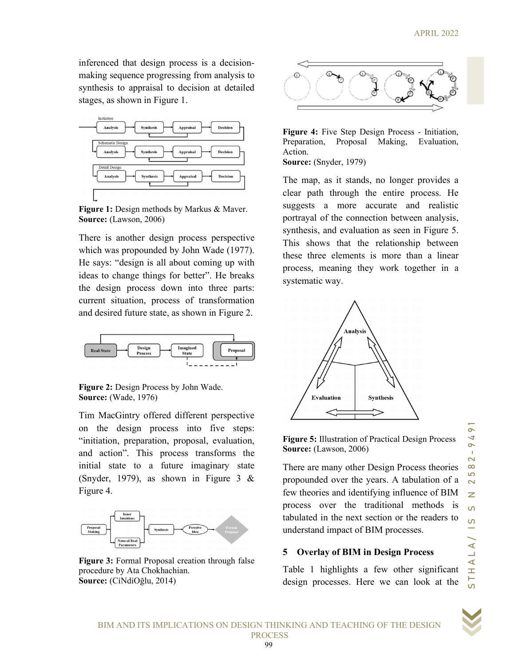inferenced that design process is a decisionmaking sequence progressing from analysis to synthesis to appraisal to decision at detailed stages, as shown in Figure 1.



Figure 1: Design methods by Markus & Maver. Source: (Lawson, 2006)

There is another design process perspective which was propounded by John Wade (1977). He says: "design is all about coming up with ideas to change things for better". He breaks the design process down into three parts: current situation, process of transformation and desired future state, as shown in Figure 2.



Figure 2: Design Process by John Wade. Source: (Wade, 1976)

Tim MacGintry offered different perspective on the design process into five steps: "initiation, preparation, proposal, evaluation, and action". This process transforms the initial state to a future imaginary state (Snyder, 1979), as shown in Figure 3 & Figure 4.



Figure 3: Formal Proposal creation through false procedure by Ata Chokhachian. Source: (CiNdiOğlu, 2014)



Figure 4: Five Step Design Process - Initiation, Preparation, Proposal Making, Evaluation, Action. Source: (Snyder, 1979)

The map, as it stands, no longer provides a clear path through the entire process. He suggests a more accurate and realistic portrayal of the connection between analysis, synthesis, and evaluation as seen in Figure 5. This shows that the relationship between these three elements is more than a linear process, meaning they work together in a systematic way.



Figure 5: Illustration of Practical Design Process Source: (Lawson, 2006)

There are many other Design Process theories propounded over the years. A tabulation of a few theories and identifying influence of BIM process over the traditional methods is tabulated in the next section or the readers to understand impact of BIM processes.

#### 5 Overlay of BIM in Design Process

Table 1 highlights a few other significant design processes. Here we can look at the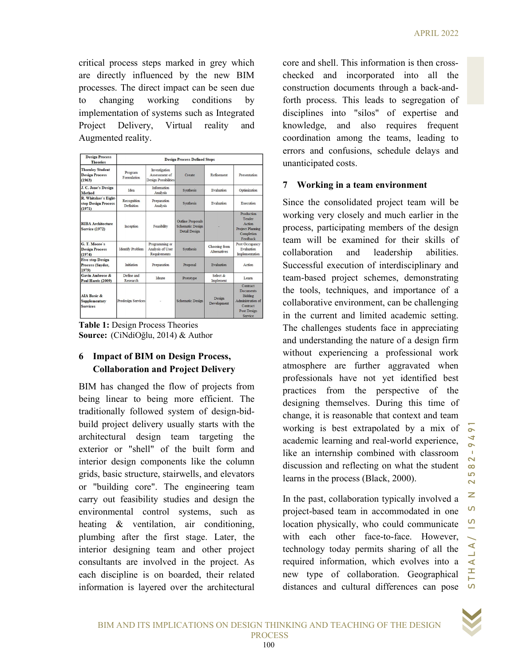critical process steps marked in grey which are directly influenced by the new BIM processes. The direct impact can be seen due to changing working conditions by implementation of systems such as Integrated Project Delivery, Virtual reality and Augmented reality.

| <b>Design Process</b><br><b>Theories</b>                          | <b>Design Process Defined Steps</b> |                                                               |                                                                      |                                      |                                                                                                           |
|-------------------------------------------------------------------|-------------------------------------|---------------------------------------------------------------|----------------------------------------------------------------------|--------------------------------------|-----------------------------------------------------------------------------------------------------------|
| <b>Thornley Student</b><br><b>Design Process</b><br>(1963)        | Program<br>Formulation              | Investigation<br>Assessment of<br><b>Design Possibilities</b> | Create                                                               | Refinement                           | Presentation                                                                                              |
| J. C. Jone's Design<br>Method                                     | Idea                                | <b>Information</b><br>Analysis                                | Synthesis                                                            | Evaluation                           | Optimization                                                                                              |
| R. Whitaker's Eight-<br>step Design Process<br>(1971)             | Recognition<br>Definition           | Preparation<br>Analysis                                       | Synthesis                                                            | Evaluation                           | Execution                                                                                                 |
| <b>RIBA</b> Architecture<br><b>Service (1972)</b>                 | Inception                           | Feasibility                                                   | <b>Outline Proposals</b><br><b>Schematic Design</b><br>Detail Design |                                      | Production<br>Tender<br>Action<br><b>Project Planning</b><br>Completion<br>Feedback                       |
| G. T. Moore's<br><b>Design Process</b><br>(1974)                  | <b>Identify Problem</b>             | Programming or<br>Analysis of User<br>Requirements            | Synthesis                                                            | Choosing from<br><b>Alternatives</b> | Post Occupancy<br>Evaluation<br>Implementation                                                            |
| <b>Five step Design</b><br>Process (Snyder,<br>1979)              | Initiation                          | Preparation                                                   | Proposal                                                             | Evaluation                           | Action                                                                                                    |
| <b>Gavin Ambrose &amp;</b><br>Paul Harris (2009)                  | Define and<br>Research              | Ideate                                                        | Prototype                                                            | Select &<br>Implement                | Learn                                                                                                     |
| <b>AIA Basic &amp;</b><br><b>Supplementary</b><br><b>Services</b> | <b>Predesign Services</b>           |                                                               | <b>Schematic Design</b>                                              | Design<br>Development                | Contract<br><b>Documents</b><br>Bidding<br>Administration of<br>Contract<br><b>Post Design</b><br>Service |

Table 1: Design Process Theories Source: (CiNdiOğlu, 2014) & Author

## 6 Impact of BIM on Design Process, Collaboration and Project Delivery

BIM has changed the flow of projects from being linear to being more efficient. The traditionally followed system of design-bidbuild project delivery usually starts with the architectural design team targeting the exterior or "shell" of the built form and interior design components like the column grids, basic structure, stairwells, and elevators or "building core". The engineering team carry out feasibility studies and design the environmental control systems, such as heating & ventilation, air conditioning, plumbing after the first stage. Later, the interior designing team and other project consultants are involved in the project. As each discipline is on boarded, their related information is layered over the architectural core and shell. This information is then crosschecked and incorporated into all the construction documents through a back-andforth process. This leads to segregation of disciplines into "silos" of expertise and knowledge, and also requires frequent coordination among the teams, leading to errors and confusions, schedule delays and unanticipated costs.

## 7 Working in a team environment

Since the consolidated project team will be<br>working very closely and much earlier in the<br>process, participating members of the design<br>team will be examined for their in the<br>collaboration and leadership abilities.<br>Successf Since the consolidated project team will be working very closely and much earlier in the process, participating members of the design team will be examined for their skills of collaboration and leadership abilities. Successful execution of interdisciplinary and team-based project schemes, demonstrating the tools, techniques, and importance of a collaborative environment, can be challenging in the current and limited academic setting. The challenges students face in appreciating and understanding the nature of a design firm without experiencing a professional work atmosphere are further aggravated when professionals have not yet identified best practices from the perspective of the designing themselves. During this time of change, it is reasonable that context and team working is best extrapolated by a mix of academic learning and real-world experience, like an internship combined with classroom discussion and reflecting on what the student learns in the process (Black, 2000).

In the past, collaboration typically involved a project-based team in accommodated in one location physically, who could communicate with each other face-to-face. However, technology today permits sharing of all the required information, which evolves into a new type of collaboration. Geographical distances and cultural differences can pose  $\Omega$